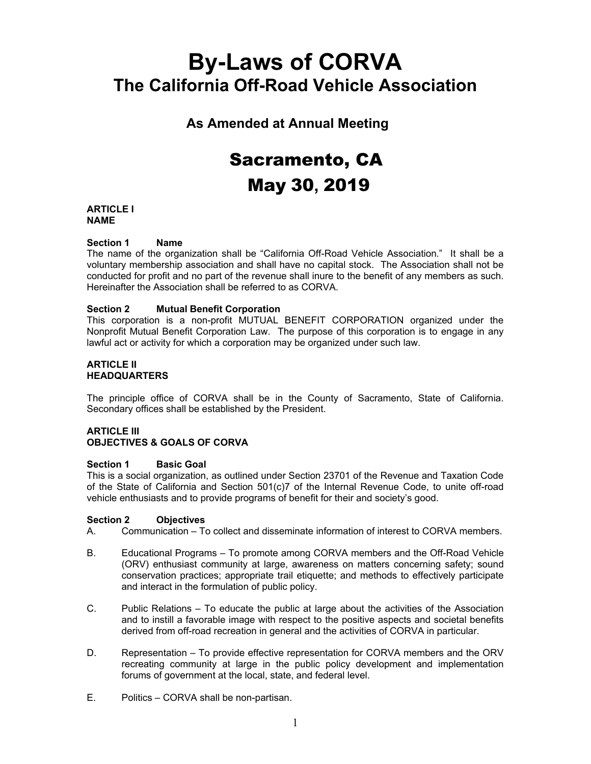# **By-Laws of CORVA The California Off-Road Vehicle Association**

**As Amended at Annual Meeting**

# Sacramento, CA May 30**,** 2019

# **ARTICLE I NAME**

# **Section 1 Name**

The name of the organization shall be "California Off-Road Vehicle Association." It shall be a voluntary membership association and shall have no capital stock. The Association shall not be conducted for profit and no part of the revenue shall inure to the benefit of any members as such. Hereinafter the Association shall be referred to as CORVA.

# **Section 2 Mutual Benefit Corporation**

This corporation is a non-profit MUTUAL BENEFIT CORPORATION organized under the Nonprofit Mutual Benefit Corporation Law. The purpose of this corporation is to engage in any lawful act or activity for which a corporation may be organized under such law.

#### **ARTICLE II HEADQUARTERS**

The principle office of CORVA shall be in the County of Sacramento, State of California. Secondary offices shall be established by the President.

# **ARTICLE III OBJECTIVES & GOALS OF CORVA**

# **Section 1 Basic Goal**

This is a social organization, as outlined under Section 23701 of the Revenue and Taxation Code of the State of California and Section 501(c)7 of the Internal Revenue Code, to unite off-road vehicle enthusiasts and to provide programs of benefit for their and society's good.

# **Section 2 Objectives**

A. Communication – To collect and disseminate information of interest to CORVA members.

- B. Educational Programs To promote among CORVA members and the Off-Road Vehicle (ORV) enthusiast community at large, awareness on matters concerning safety; sound conservation practices; appropriate trail etiquette; and methods to effectively participate and interact in the formulation of public policy.
- C. Public Relations To educate the public at large about the activities of the Association and to instill a favorable image with respect to the positive aspects and societal benefits derived from off-road recreation in general and the activities of CORVA in particular.
- D. Representation To provide effective representation for CORVA members and the ORV recreating community at large in the public policy development and implementation forums of government at the local, state, and federal level.
- E. Politics CORVA shall be non-partisan.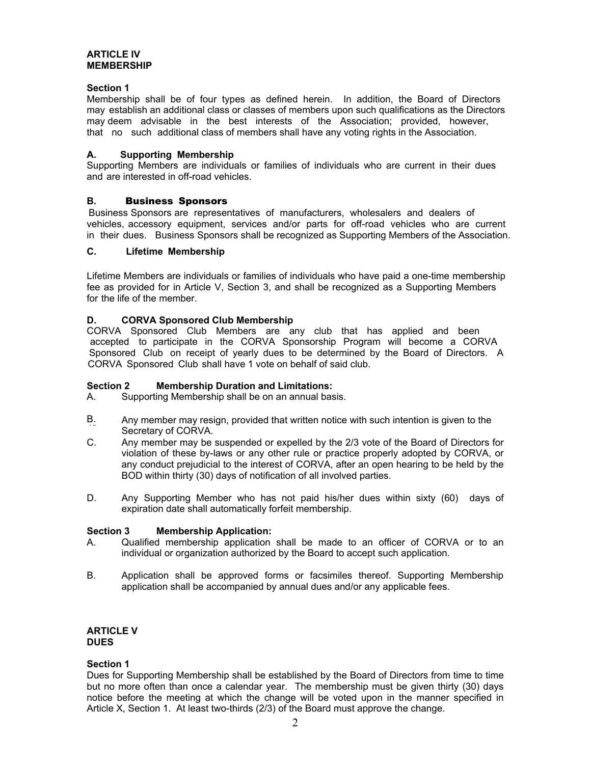#### **ARTICLE IV MEMBERSHIP**

#### **Section 1**

Membership shall be of four types as defined herein. In addition, the Board of Directors may establish an additional class or classes of members upon such qualifications as the Directors may deem advisable in the best interests of the Association; provided, however, that no such additional class of members shall have any voting rights in the Association.

#### **A. Supporting Membership**

Supporting Members are individuals or families of individuals who are current in their dues and are interested in off-road vehicles.

# **B.** Business Sponsors

vehicles, accessory equipment, services and/or parts for off-road vehicles who are current in their dues. Business Sponsors shall be recognized as Supporting Members of the Association. Business Sponsors are representatives of manufacturers, wholesalers and dealers of

#### **C. Lifetime Membership**

Lifetime Members are individuals or families of individuals who have paid a one-time membership fee as provided for in Article V, Section 3, and shall be recognized as a Supporting Members for the life of the member.

#### **D. CORVA Sponsored Club Membership**

accepted to participate in the CORVA Sponsorship Program will become a CORVA Sponsored Club on receipt of yearly dues to be determined by the Board of Directors. A CORVA Sponsored Club shall have 1 vote on behalf of said club. CORVA Sponsored Club Members are any club that has applied and been

#### **Section 2 Membership Duration and Limitations:**

- A. Supporting Membership shall be on an annual basis.
- to the B. Any member may resign, provided that written notice with such intention is given to the Secretary of CORVA.
- C. Any member may be suspended or expelled by the 2/3 vote of the Board of Directors for violation of these by-laws or any other rule or practice properly adopted by CORVA, or any conduct prejudicial to the interest of CORVA, after an open hearing to be held by the BOD within thirty (30) days of notification of all involved parties.
- D. Any Supporting Member who has not paid his/her dues within sixty (60) days of expiration date shall automatically forfeit membership.

#### **Section 3 Membership Application:**

- A. Qualified membership application shall be made to an officer of CORVA or to an individual or organization authorized by the Board to accept such application.
- B. Application shall be approved forms or facsimiles thereof. Supporting Membership application shall be accompanied by annual dues and/or any applicable fees.

# **ARTICLE V DUES**

#### **Section 1**

Dues for Supporting Membership shall be established by the Board of Directors from time to time but no more often than once a calendar year. The membership must be given thirty (30) days notice before the meeting at which the change will be voted upon in the manner specified in Article X, Section 1. At least two-thirds (2/3) of the Board must approve the change.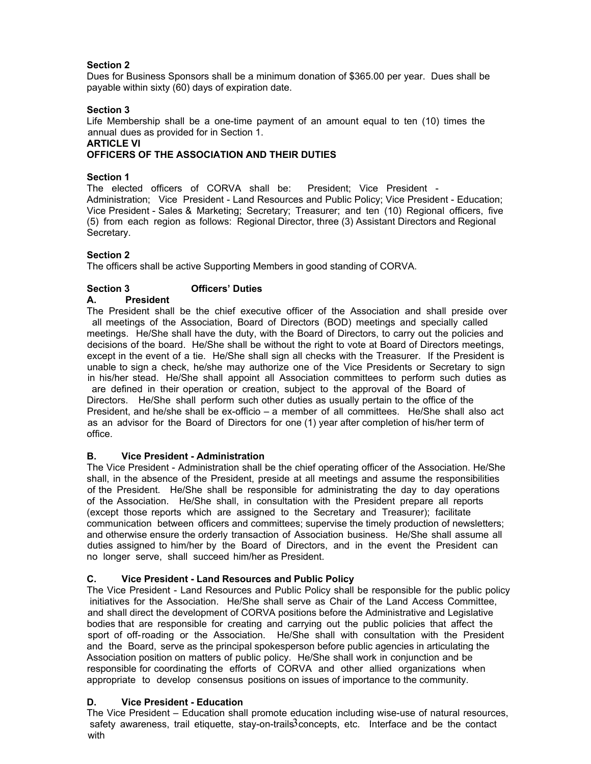# **Section 2**

payable within sixty (60) days of expiration date. Dues for Business Sponsors shall be a minimum donation of \$365.00 per year. Dues shall be

# **Section 3**

Life Membership shall be a one-time payment of an amount equal to ten (10) times the annual dues as provided for in Section 1.

# **ARTICLE VI**

# **OFFICERS OF THE ASSOCIATION AND THEIR DUTIES**

# **Section 1**

The elected officers of CORVA shall be: President; Vice President - Administration; Vice President - Land Resources and Public Policy; Vice President - Education; Vice President - Sales & Marketing; Secretary; Treasurer; and ten (10) Regional officers, five (5) from each region as follows: Regional Director, three (3) Assistant Directors and Regional Secretary.

# **Section 2**

The officers shall be active Supporting Members in good standing of CORVA.

# **Section 3 Officers' Duties**

#### **A. President**

The President shall be the chief executive officer of the Association and shall preside over all meetings of the Association, Board of Directors (BOD) meetings and specially called meetings. He/She shall have the duty, with the Board of Directors, to carry out the policies and decisions of the board. He/She shall be without the right to vote at Board of Directors meetings, except in the event of a tie. He/She shall sign all checks with the Treasurer. If the President is unable to sign a check, he/she may authorize one of the Vice Presidents or Secretary to sign in his/her stead. He/She shall appoint all Association committees to perform such duties as are defined in their operation or creation, subject to the approval of the Board of Directors. He/She shall perform such other duties as usually pertain to the office of the President, and he/she shall be ex-officio – a member of all committees. He/She shall also act as an advisor for the Board of Directors for one (1) year after completion of his/her term of office.

# **B. Vice President - Administration**

The Vice President - Administration shall be the chief operating officer of the Association. He/She shall, in the absence of the President, preside at all meetings and assume the responsibilities of the President. He/She shall be responsible for administrating the day to day operations of the Association. He/She shall, in consultation with the President prepare all reports (except those reports which are assigned to the Secretary and Treasurer); facilitate communication between officers and committees; supervise the timely production of newsletters; and otherwise ensure the orderly transaction of Association business. He/She shall assume all duties assigned to him/her by the Board of Directors, and in the event the President can no longer serve, shall succeed him/her as President.

# **C. Vice President - Land Resources and Public Policy**

The Vice President - Land Resources and Public Policy shall be responsible for the public policy initiatives for the Association. He/She shall serve as Chair of the Land Access Committee, and shall direct the development of CORVA positions before the Administrative and Legislative bodies that are responsible for creating and carrying out the public policies that affect the sport of off-roading or the Association. He/She shall with consultation with the President and the Board, serve as the principal spokesperson before public agencies in articulating the Association position on matters of public policy. He/She shall work in conjunction and be responsible for coordinating the efforts of CORVA and other allied organizations when appropriate to develop consensus positions on issues of importance to the community.

# **D. Vice President - Education**

safety awareness, trail etiquette, stay-on-trails3 concepts, etc. Interface and be the contact The Vice President – Education shall promote education including wise-use of natural resources, with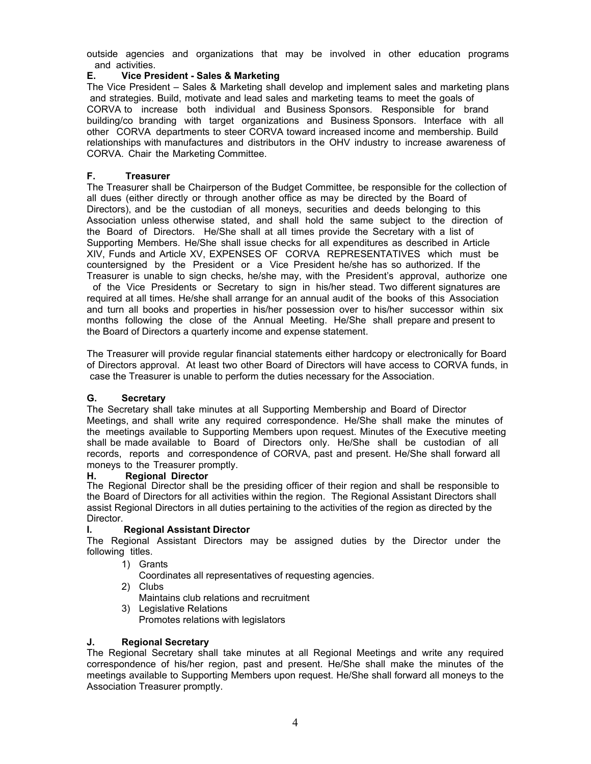outside agencies and organizations that may be involved in other education programs and activities.

#### **E. Vice President - Sales & Marketing**

The Vice President – Sales & Marketing shall develop and implement sales and marketing plans and strategies. Build, motivate and lead sales and marketing teams to meet the goals of other CORVA departments to steer CORVA toward increased income and membership. Build relationships with manufactures and distributors in the OHV industry to increase awareness of CORVA. Chair the Marketing Committee. CORVA to increase both individual and Business Sponsors. Responsible for brand building/co branding with target organizations and Business Sponsors. Interface with all

#### **F. Treasurer**

The Treasurer shall be Chairperson of the Budget Committee, be responsible for the collection of all dues (either directly or through another office as may be directed by the Board of Directors), and be the custodian of all moneys, securities and deeds belonging to this Association unless otherwise stated, and shall hold the same subject to the direction of the Board of Directors. He/She shall at all times provide the Secretary with a list of Supporting Members. He/She shall issue checks for all expenditures as described in Article XIV, Funds and Article XV, EXPENSES OF CORVA REPRESENTATIVES which must be countersigned by the President or a Vice President he/she has so authorized. If the Treasurer is unable to sign checks, he/she may, with the President's approval, authorize one

 of the Vice Presidents or Secretary to sign in his/her stead. Two different signatures are required at all times. He/she shall arrange for an annual audit of the books of this Association and turn all books and properties in his/her possession over to his/her successor within six months following the close of the Annual Meeting. He/She shall prepare and present to the Board of Directors a quarterly income and expense statement.

The Treasurer will provide regular financial statements either hardcopy or electronically for Board of Directors approval. At least two other Board of Directors will have access to CORVA funds, in case the Treasurer is unable to perform the duties necessary for the Association.

#### **G. Secretary**

The Secretary shall take minutes at all Supporting Membership and Board of Director Meetings, and shall write any required correspondence. He/She shall make the minutes of the meetings available to Supporting Members upon request. Minutes of the Executive meeting shall be made available to Board of Directors only. He/She shall be custodian of all records, reports and correspondence of CORVA, past and present. He/She shall forward all moneys to the Treasurer promptly.

#### **H. Regional Director**

The Regional Director shall be the presiding officer of their region and shall be responsible to the Board of Directors for all activities within the region. The Regional Assistant Directors shall assist Regional Directors in all duties pertaining to the activities of the region as directed by the Director.

# **I. Regional Assistant Director**

The Regional Assistant Directors may be assigned duties by the Director under the following titles.

1) Grants

Coordinates all representatives of requesting agencies.

- 2) Clubs Maintains club relations and recruitment
- 3) Legislative Relations Promotes relations with legislators

# **J. Regional Secretary**

The Regional Secretary shall take minutes at all Regional Meetings and write any required correspondence of his/her region, past and present. He/She shall make the minutes of the meetings available to Supporting Members upon request. He/She shall forward all moneys to the Association Treasurer promptly.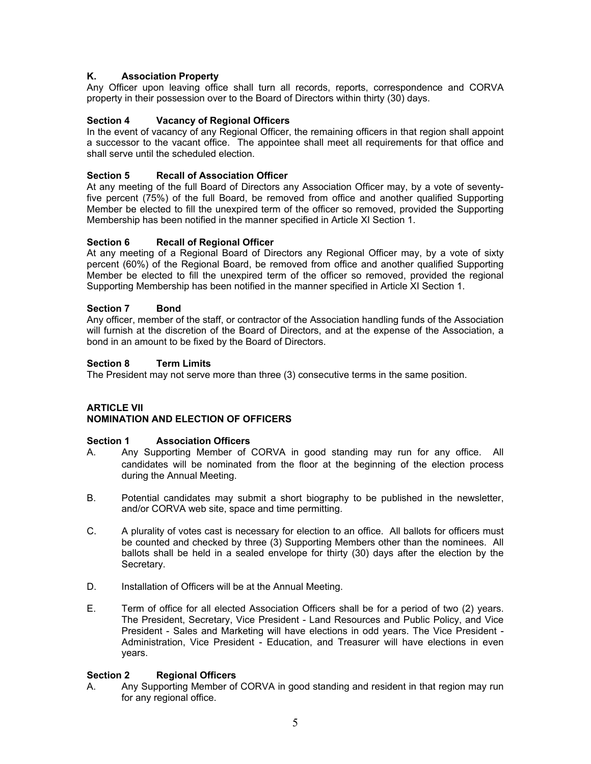# **K. Association Property**

Any Officer upon leaving office shall turn all records, reports, correspondence and CORVA property in their possession over to the Board of Directors within thirty (30) days.

# **Section 4 Vacancy of Regional Officers**

In the event of vacancy of any Regional Officer, the remaining officers in that region shall appoint a successor to the vacant office. The appointee shall meet all requirements for that office and shall serve until the scheduled election.

#### **Section 5 Recall of Association Officer**

At any meeting of the full Board of Directors any Association Officer may, by a vote of seventyfive percent (75%) of the full Board, be removed from office and another qualified Supporting Member be elected to fill the unexpired term of the officer so removed, provided the Supporting Membership has been notified in the manner specified in Article XI Section 1.

#### **Section 6 Recall of Regional Officer**

At any meeting of a Regional Board of Directors any Regional Officer may, by a vote of sixty percent (60%) of the Regional Board, be removed from office and another qualified Supporting Member be elected to fill the unexpired term of the officer so removed, provided the regional Supporting Membership has been notified in the manner specified in Article XI Section 1.

#### **Section 7 Bond**

Any officer, member of the staff, or contractor of the Association handling funds of the Association will furnish at the discretion of the Board of Directors, and at the expense of the Association, a bond in an amount to be fixed by the Board of Directors.

#### **Section 8 Term Limits**

The President may not serve more than three (3) consecutive terms in the same position.

# **ARTICLE VII NOMINATION AND ELECTION OF OFFICERS**

#### **Section 1 Association Officers**

- candidates will be nominated from the floor at the beginning of the election process during the Annual Meeting. A. Any Supporting Member of CORVA in good standing may run for any office. All
- B. Potential candidates may submit a short biography to be published in the newsletter, and/or CORVA web site, space and time permitting.
- C. A plurality of votes cast is necessary for election to an office. All ballots for officers must be counted and checked by three (3) Supporting Members other than the nominees. All ballots shall be held in a sealed envelope for thirty (30) days after the election by the Secretary.
- D. Installation of Officers will be at the Annual Meeting.
- E. Term of office for all elected Association Officers shall be for a period of two (2) years. The President, Secretary, Vice President - Land Resources and Public Policy, and Vice President - Sales and Marketing will have elections in odd years. The Vice President - Administration, Vice President - Education, and Treasurer will have elections in even years.

#### **Section 2 Regional Officers**

A. Any Supporting Member of CORVA in good standing and resident in that region may run for any regional office.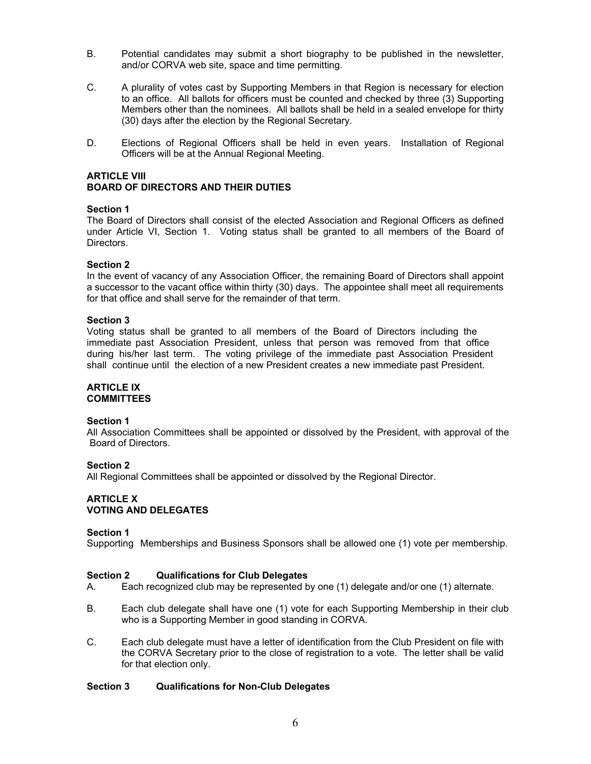- B. Potential candidates may submit a short biography to be published in the newsletter, and/or CORVA web site, space and time permitting.
- C. A plurality of votes cast by Supporting Members in that Region is necessary for election to an office. All ballots for officers must be counted and checked by three (3) Supporting Members other than the nominees. All ballots shall be held in a sealed envelope for thirty (30) days after the election by the Regional Secretary.
- D. Elections of Regional Officers shall be held in even years.Installation of Regional Officers will be at the Annual Regional Meeting.

# **ARTICLE VIII BOARD OF DIRECTORS AND THEIR DUTIES**

#### **Section 1**

The Board of Directors shall consist of the elected Association and Regional Officers as defined under Article VI, Section 1. Voting status shall be granted to all members of the Board of Directors.

#### **Section 2**

In the event of vacancy of any Association Officer, the remaining Board of Directors shall appoint a successor to the vacant office within thirty (30) days. The appointee shall meet all requirements for that office and shall serve for the remainder of that term.

#### **Section 3**

Voting status shall be granted to all members of the Board of Directors including the immediate past Association President, unless that person was removed from that office during his/her last term. The voting privilege of the immediate past Association President shall continue until the election of a new President creates a new immediate past President.

#### **ARTICLE IX COMMITTEES**

#### **Section 1**

All Association Committees shall be appointed or dissolved by the President, with approval of the Board of Directors.

#### **Section 2**

All Regional Committees shall be appointed or dissolved by the Regional Director.

# **ARTICLE X VOTING AND DELEGATES**

#### **Section 1**

Supporting Memberships and Business Sponsors shall be allowed one (1) vote per membership.

# **Section 2 Qualifications for Club Delegates**

- A. Each recognized club may be represented by one (1) delegate and/or one (1) alternate.
- who is a Supporting Member in good standing in CORVA. B. Each club delegate shall have one (1) vote for each Supporting Membership in their club
- C. Each club delegate must have a letter of identification from the Club President on file with the CORVA Secretary prior to the close of registration to a vote. The letter shall be valid for that election only.

# **Section 3 Qualifications for Non-Club Delegates**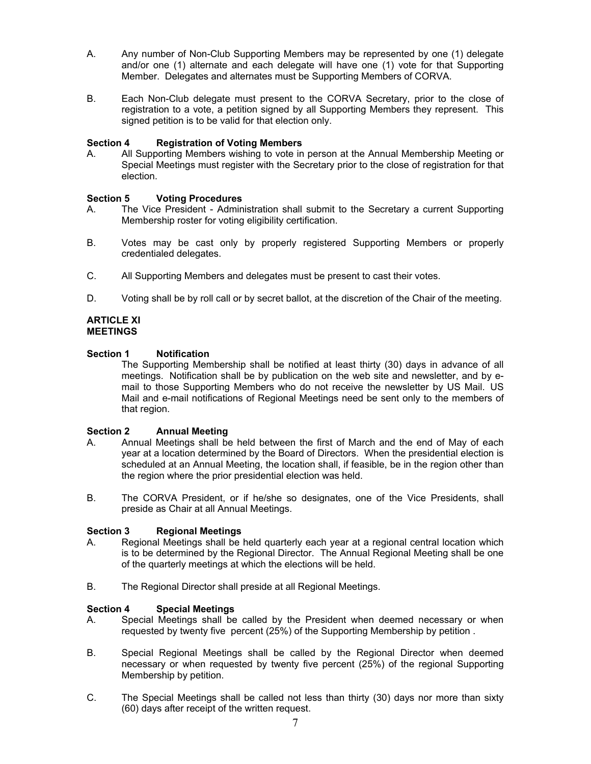- A. Any number of Non-Club Supporting Members may be represented by one (1) delegate and/or one (1) alternate and each delegate will have one (1) vote for that Supporting Member. Delegates and alternates must be Supporting Members of CORVA.
- B. Each Non-Club delegate must present to the CORVA Secretary, prior to the close of registration to a vote, a petition signed by all Supporting Members they represent. This signed petition is to be valid for that election only.

#### **Section 4 Registration of Voting Members**

A. All Supporting Members wishing to vote in person at the Annual Membership Meeting or Special Meetings must register with the Secretary prior to the close of registration for that election.

#### **Section 5 Voting Procedures**

- A. The Vice President Administration shall submit to the Secretary a current Supporting Membership roster for voting eligibility certification.
- B. Votes may be cast only by properly registered Supporting Members or properly credentialed delegates.
- C. All Supporting Members and delegates must be present to cast their votes.
- D. Voting shall be by roll call or by secret ballot, at the discretion of the Chair of the meeting.

#### **ARTICLE XI MEETINGS**

#### **Section 1 Notification**

The Supporting Membership shall be notified at least thirty (30) days in advance of all meetings. Notification shall be by publication on the web site and newsletter, and by email to those Supporting Members who do not receive the newsletter by US Mail. US Mail and e-mail notifications of Regional Meetings need be sent only to the members of that region.

#### **Section 2 Annual Meeting**

- A. Annual Meetings shall be held between the first of March and the end of May of each year at a location determined by the Board of Directors. When the presidential election is scheduled at an Annual Meeting, the location shall, if feasible, be in the region other than the region where the prior presidential election was held.
- B. The CORVA President, or if he/she so designates, one of the Vice Presidents, shall preside as Chair at all Annual Meetings.

# **Section 3 Regional Meetings**

- A. Regional Meetings shall be held quarterly each year at a regional central location which is to be determined by the Regional Director. The Annual Regional Meeting shall be one of the quarterly meetings at which the elections will be held.
- B. The Regional Director shall preside at all Regional Meetings.

#### **Section 4 Special Meetings**

- A. Special Meetings shall be called by the President when deemed necessary or when requested by twenty five percent (25%) of the Supporting Membership by petition .
- B. Special Regional Meetings shall be called by the Regional Director when deemed necessary or when requested by twenty five percent (25%) of the regional Supporting Membership by petition.
- C. The Special Meetings shall be called not less than thirty (30) days nor more than sixty (60) days after receipt of the written request.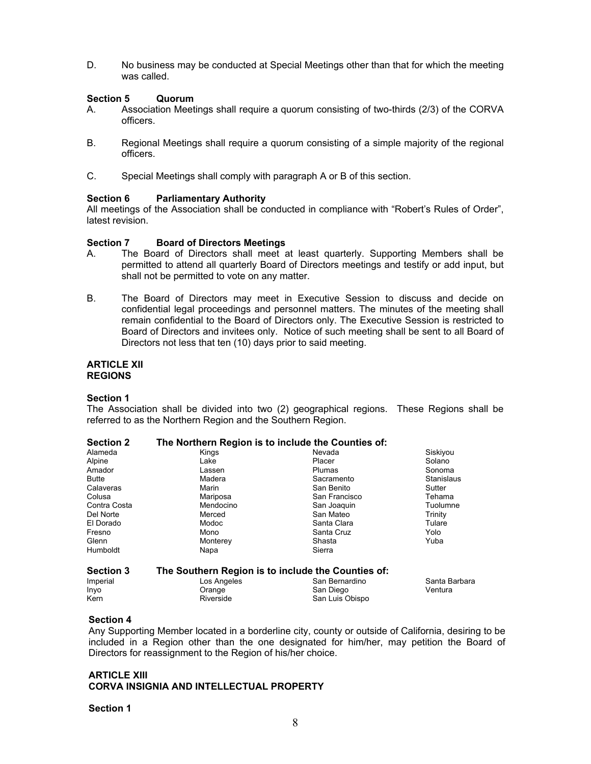D. No business may be conducted at Special Meetings other than that for which the meeting was called.

#### **Section 5 Quorum**

- A. Association Meetings shall require a quorum consisting of two-thirds (2/3) of the CORVA officers.
- B. Regional Meetings shall require a quorum consisting of a simple majority of the regional officers.
- C. Special Meetings shall comply with paragraph A or B of this section.

#### **Section 6 Parliamentary Authority**

All meetings of the Association shall be conducted in compliance with "Robert's Rules of Order", latest revision.

#### **Section 7 Board of Directors Meetings**

- A. The Board of Directors shall meet at least quarterly. Supporting Members shall be permitted to attend all quarterly Board of Directors meetings and testify or add input, but shall not be permitted to vote on any matter.
- B. The Board of Directors may meet in Executive Session to discuss and decide on confidential legal proceedings and personnel matters. The minutes of the meeting shall remain confidential to the Board of Directors only. The Executive Session is restricted to Board of Directors and invitees only. Notice of such meeting shall be sent to all Board of Directors not less that ten (10) days prior to said meeting.

#### **ARTICLE XII REGIONS**

#### **Section 1**

The Association shall be divided into two (2) geographical regions. These Regions shall be referred to as the Northern Region and the Southern Region.

| <b>Section 2</b> | The Northern Region is to include the Counties of: |                 |               |
|------------------|----------------------------------------------------|-----------------|---------------|
| Alameda          | Kings                                              | Nevada          | Siskiyou      |
| Alpine           | Lake                                               | Placer          | Solano        |
| Amador           | Lassen                                             | Plumas          | Sonoma        |
| <b>Butte</b>     | Madera                                             | Sacramento      | Stanislaus    |
| Calaveras        | Marin                                              | San Benito      | Sutter        |
| Colusa           | Mariposa                                           | San Francisco   | Tehama        |
| Contra Costa     | Mendocino                                          | San Joaquin     | Tuolumne      |
| Del Norte        | Merced                                             | San Mateo       | Trinity       |
| El Dorado        | Modoc                                              | Santa Clara     | Tulare        |
| Fresno           | Mono                                               | Santa Cruz      | Yolo          |
| Glenn            | Monterey                                           | Shasta          | Yuba          |
| Humboldt         | Napa                                               | Sierra          |               |
| <b>Section 3</b> | The Southern Region is to include the Counties of: |                 |               |
| Imperial         | Los Angeles                                        | San Bernardino  | Santa Barbara |
| Inyo             | Orange                                             | San Diego       | Ventura       |
| Kern             | Riverside                                          | San Luis Obispo |               |

#### **Section 4**

Any Supporting Member located in a borderline city, county or outside of California, desiring to be included in a Region other than the one designated for him/her, may petition the Board of Directors for reassignment to the Region of his/her choice.

#### **ARTICLE XIII CORVA INSIGNIA AND INTELLECTUAL PROPERTY**

#### **Section 1**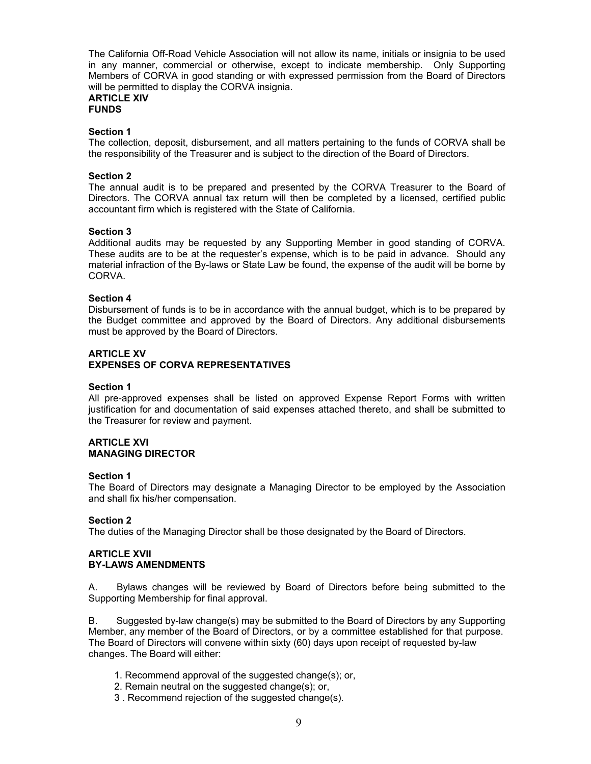The California Off-Road Vehicle Association will not allow its name, initials or insignia to be used in any manner, commercial or otherwise, except to indicate membership. Only Supporting Members of CORVA in good standing or with expressed permission from the Board of Directors will be permitted to display the CORVA insignia.

#### **ARTICLE XIV FUNDS**

#### **Section 1**

The collection, deposit, disbursement, and all matters pertaining to the funds of CORVA shall be the responsibility of the Treasurer and is subject to the direction of the Board of Directors.

#### **Section 2**

The annual audit is to be prepared and presented by the CORVA Treasurer to the Board of Directors. The CORVA annual tax return will then be completed by a licensed, certified public accountant firm which is registered with the State of California.

#### **Section 3**

Additional audits may be requested by any Supporting Member in good standing of CORVA. These audits are to be at the requester's expense, which is to be paid in advance. Should any material infraction of the By-laws or State Law be found, the expense of the audit will be borne by CORVA.

#### **Section 4**

Disbursement of funds is to be in accordance with the annual budget, which is to be prepared by the Budget committee and approved by the Board of Directors. Any additional disbursements must be approved by the Board of Directors.

#### **ARTICLE XV EXPENSES OF CORVA REPRESENTATIVES**

#### **Section 1**

All pre-approved expenses shall be listed on approved Expense Report Forms with written justification for and documentation of said expenses attached thereto, and shall be submitted to the Treasurer for review and payment.

#### **ARTICLE XVI MANAGING DIRECTOR**

#### **Section 1**

The Board of Directors may designate a Managing Director to be employed by the Association and shall fix his/her compensation.

# **Section 2**

The duties of the Managing Director shall be those designated by the Board of Directors.

#### **ARTICLE XVII BY-LAWS AMENDMENTS**

A. Bylaws changes will be reviewed by Board of Directors before being submitted to the Supporting Membership for final approval.

B. Suggested by-law change(s) may be submitted to the Board of Directors by any Supporting Member, any member of the Board of Directors, or by a committee established for that purpose. The Board of Directors will convene within sixty (60) days upon receipt of requested by-law changes. The Board will either:

- 1. Recommend approval of the suggested change(s); or,
- 2. Remain neutral on the suggested change(s); or,
- 3 . Recommend rejection of the suggested change(s).